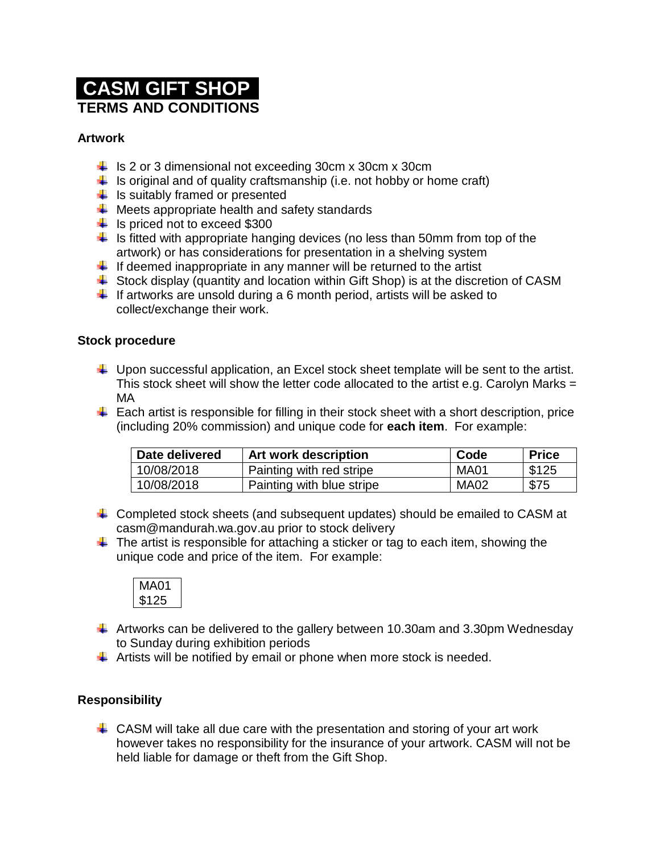# **CASM GIFT SHOP TERMS AND CONDITIONS**

# **Artwork**

- $\frac{1}{2}$  Is 2 or 3 dimensional not exceeding 30cm x 30cm x 30cm
- $\downarrow$  is original and of quality craftsmanship (i.e. not hobby or home craft)
- $\frac{1}{\sqrt{1}}$  is suitably framed or presented
- $\downarrow$  Meets appropriate health and safety standards
- $\frac{1}{10}$  Is priced not to exceed \$300
- $\ddot{\phantom{1}}$  Is fitted with appropriate hanging devices (no less than 50mm from top of the artwork) or has considerations for presentation in a shelving system
- $\downarrow$  If deemed inappropriate in any manner will be returned to the artist
- $\ddot{\phantom{1}}$  Stock display (quantity and location within Gift Shop) is at the discretion of CASM
- $\downarrow$  If artworks are unsold during a 6 month period, artists will be asked to collect/exchange their work.

## **Stock procedure**

- $\downarrow$  Upon successful application, an Excel stock sheet template will be sent to the artist. This stock sheet will show the letter code allocated to the artist e.g. Carolyn Marks  $=$ MA
- $\downarrow$  Each artist is responsible for filling in their stock sheet with a short description, price (including 20% commission) and unique code for **each item**. For example:

| Date delivered | <b>Art work description</b> | Code | <b>Price</b> |
|----------------|-----------------------------|------|--------------|
| 10/08/2018     | Painting with red stripe    | MA01 | \$125        |
| 10/08/2018     | Painting with blue stripe   | MA02 | \$75         |

- $\ddot{+}$  Completed stock sheets (and subsequent updates) should be emailed to CASM at casm@mandurah.wa.gov.au prior to stock delivery
- $\ddot{\phantom{1}}$  The artist is responsible for attaching a sticker or tag to each item, showing the unique code and price of the item. For example:



- $\pm$  Artworks can be delivered to the gallery between 10.30am and 3.30pm Wednesday to Sunday during exhibition periods
- $\ddot{\phantom{1}}$  Artists will be notified by email or phone when more stock is needed.

## **Responsibility**

 $\downarrow$  CASM will take all due care with the presentation and storing of your art work however takes no responsibility for the insurance of your artwork. CASM will not be held liable for damage or theft from the Gift Shop.